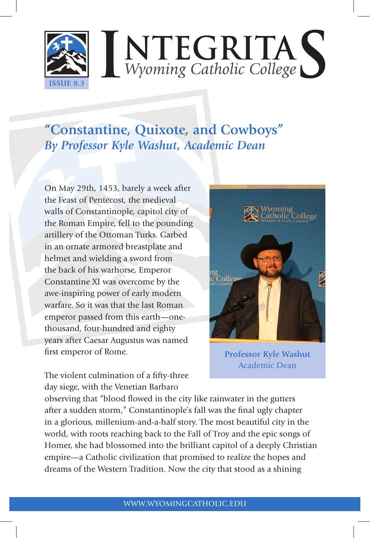

# **"Constantine, Quixote, and Cowboys"** *By Professor Kyle Washut, Academic Dean*

On May 29th, 1453, barely a week after the Feast of Pentecost, the medieval walls of Constantinople, capitol city of the Roman Empire, fell to the pounding artillery of the Ottoman Turks. Garbed in an ornate armored breastplate and helmet and wielding a sword from the back of his warhorse, Emperor Constantine XI was overcome by the awe-inspiring power of early modern warfare. So it was that the last Roman emperor passed from this earth—onethousand, four-hundred and eighty years after Caesar Augustus was named first emperor of Rome.



**Professor Kyle Washut** Academic Dean

The violent culmination of a fifty-three day siege, with the Venetian Barbaro

observing that "blood flowed in the city like rainwater in the gutters after a sudden storm," Constantinople's fall was the final ugly chapter in a glorious, millenium-and-a-half story. The most beautiful city in the world, with roots reaching back to the Fall of Troy and the epic songs of Homer, she had blossomed into the brilliant capitol of a deeply Christian empire—a Catholic civilization that promised to realize the hopes and dreams of the Western Tradition. Now the city that stood as a shining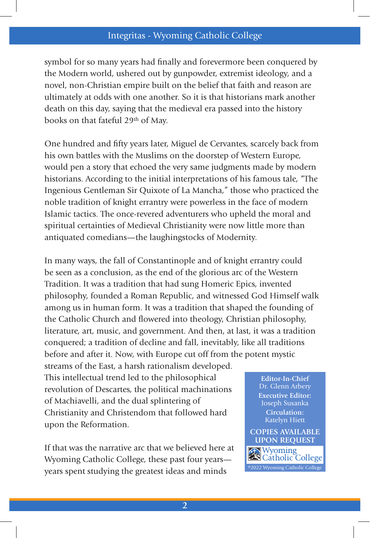### Integritas - Wyoming Catholic College

symbol for so many years had finally and forevermore been conquered by the Modern world, ushered out by gunpowder, extremist ideology, and a novel, non-Christian empire built on the belief that faith and reason are ultimately at odds with one another. So it is that historians mark another death on this day, saying that the medieval era passed into the history books on that fateful 29<sup>th</sup> of May.

One hundred and fifty years later, Miguel de Cervantes, scarcely back from his own battles with the Muslims on the doorstep of Western Europe, would pen a story that echoed the very same judgments made by modern historians. According to the initial interpretations of his famous tale, "The Ingenious Gentleman Sir Quixote of La Mancha," those who practiced the noble tradition of knight errantry were powerless in the face of modern Islamic tactics. The once-revered adventurers who upheld the moral and spiritual certainties of Medieval Christianity were now little more than antiquated comedians—the laughingstocks of Modernity.

In many ways, the fall of Constantinople and of knight errantry could be seen as a conclusion, as the end of the glorious arc of the Western Tradition. It was a tradition that had sung Homeric Epics, invented philosophy, founded a Roman Republic, and witnessed God Himself walk among us in human form. It was a tradition that shaped the founding of the Catholic Church and flowered into theology, Christian philosophy, literature, art, music, and government. And then, at last, it was a tradition conquered; a tradition of decline and fall, inevitably, like all traditions before and after it. Now, with Europe cut off from the potent mystic

streams of the East, a harsh rationalism developed. This intellectual trend led to the philosophical revolution of Descartes, the political machinations of Machiavelli, and the dual splintering of Christianity and Christendom that followed hard upon the Reformation.

If that was the narrative arc that we believed here at Wyoming Catholic College, these past four years years spent studying the greatest ideas and minds

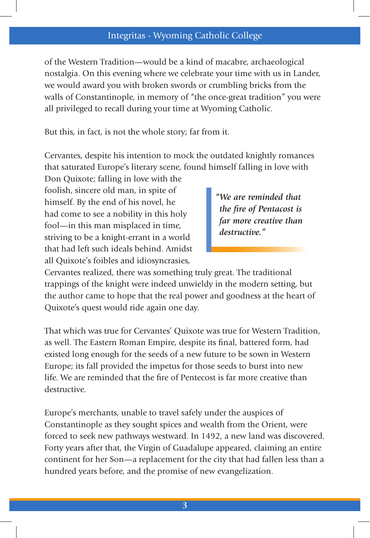#### Integritas - Wyoming Catholic College

of the Western Tradition—would be a kind of macabre, archaeological nostalgia. On this evening where we celebrate your time with us in Lander, we would award you with broken swords or crumbling bricks from the walls of Constantinople, in memory of "the once-great tradition" you were all privileged to recall during your time at Wyoming Catholic.

But this, in fact, is not the whole story; far from it.

Cervantes, despite his intention to mock the outdated knightly romances that saturated Europe's literary scene, found himself falling in love with

Don Quixote; falling in love with the foolish, sincere old man, in spite of himself. By the end of his novel, he had come to see a nobility in this holy fool—in this man misplaced in time, striving to be a knight-errant in a world that had left such ideals behind. Amidst all Quixote's foibles and idiosyncrasies,

*"We are reminded that the fire of Pentacost is far more creative than destructive."*

Cervantes realized, there was something truly great. The traditional trappings of the knight were indeed unwieldy in the modern setting, but the author came to hope that the real power and goodness at the heart of Quixote's quest would ride again one day.

That which was true for Cervantes' Quixote was true for Western Tradition, as well. The Eastern Roman Empire, despite its final, battered form, had existed long enough for the seeds of a new future to be sown in Western Europe; its fall provided the impetus for those seeds to burst into new life. We are reminded that the fire of Pentecost is far more creative than destructive.

Europe's merchants, unable to travel safely under the auspices of Constantinople as they sought spices and wealth from the Orient, were forced to seek new pathways westward. In 1492, a new land was discovered. Forty years after that, the Virgin of Guadalupe appeared, claiming an entire continent for her Son—a replacement for the city that had fallen less than a hundred years before, and the promise of new evangelization.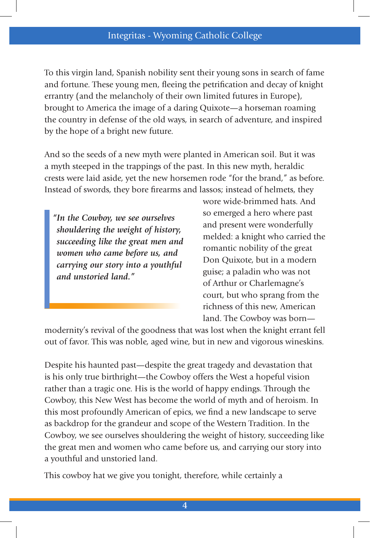To this virgin land, Spanish nobility sent their young sons in search of fame and fortune. These young men, fleeing the petrification and decay of knight errantry (and the melancholy of their own limited futures in Europe), brought to America the image of a daring Quixote—a horseman roaming the country in defense of the old ways, in search of adventure, and inspired by the hope of a bright new future.

And so the seeds of a new myth were planted in American soil. But it was a myth steeped in the trappings of the past. In this new myth, heraldic crests were laid aside, yet the new horsemen rode "for the brand," as before. Instead of swords, they bore firearms and lassos; instead of helmets, they

*"In the Cowboy, we see ourselves shouldering the weight of history, succeeding like the great men and women who came before us, and carrying our story into a youthful and unstoried land."*

wore wide-brimmed hats. And so emerged a hero where past and present were wonderfully melded: a knight who carried the romantic nobility of the great Don Quixote, but in a modern guise; a paladin who was not of Arthur or Charlemagne's court, but who sprang from the richness of this new, American land. The Cowboy was born—

modernity's revival of the goodness that was lost when the knight errant fell out of favor. This was noble, aged wine, but in new and vigorous wineskins.

Despite his haunted past—despite the great tragedy and devastation that is his only true birthright—the Cowboy offers the West a hopeful vision rather than a tragic one. His is the world of happy endings. Through the Cowboy, this New West has become the world of myth and of heroism. In this most profoundly American of epics, we find a new landscape to serve as backdrop for the grandeur and scope of the Western Tradition. In the Cowboy, we see ourselves shouldering the weight of history, succeeding like the great men and women who came before us, and carrying our story into a youthful and unstoried land.

This cowboy hat we give you tonight, therefore, while certainly a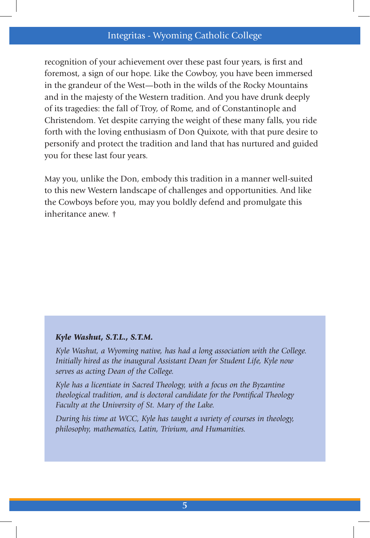#### Integritas - Wyoming Catholic College

recognition of your achievement over these past four years, is first and foremost, a sign of our hope. Like the Cowboy, you have been immersed in the grandeur of the West—both in the wilds of the Rocky Mountains and in the majesty of the Western tradition. And you have drunk deeply of its tragedies: the fall of Troy, of Rome, and of Constantinople and Christendom. Yet despite carrying the weight of these many falls, you ride forth with the loving enthusiasm of Don Quixote, with that pure desire to personify and protect the tradition and land that has nurtured and guided you for these last four years.

May you, unlike the Don, embody this tradition in a manner well-suited to this new Western landscape of challenges and opportunities. And like the Cowboys before you, may you boldly defend and promulgate this inheritance anew. †

#### *Kyle Washut, S.T.L., S.T.M.*

*Kyle Washut, a Wyoming native, has had a long association with the College. Initially hired as the inaugural Assistant Dean for Student Life, Kyle now serves as acting Dean of the College.* 

*Kyle has a licentiate in Sacred Theology, with a focus on the Byzantine theological tradition, and is doctoral candidate for the Pontifical Theology Faculty at the University of St. Mary of the Lake.* 

*During his time at WCC, Kyle has taught a variety of courses in theology, philosophy, mathematics, Latin, Trivium, and Humanities.*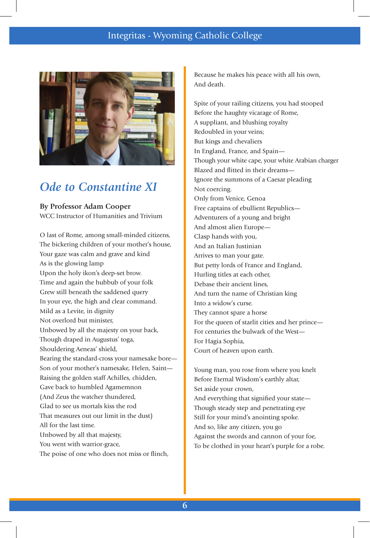

### *Ode to Constantine XI*

**By Professor Adam Cooper** WCC Instructor of Humanities and Trivium

O last of Rome, among small-minded citizens, The bickering children of your mother's house, Your gaze was calm and grave and kind As is the glowing lamp Upon the holy ikon's deep-set brow. Time and again the hubbub of your folk Grew still beneath the saddened query In your eye, the high and clear command. Mild as a Levite, in dignity Not overlord but minister, Unbowed by all the majesty on your back, Though draped in Augustus' toga, Shouldering Aeneas' shield, Bearing the standard-cross your namesake bore— Son of your mother's namesake, Helen, Saint— Raising the golden staff Achilles, chidden, Gave back to humbled Agamemnon (And Zeus the watcher thundered, Glad to see us mortals kiss the rod That measures out our limit in the dust) All for the last time. Unbowed by all that majesty, You went with warrior-grace, The poise of one who does not miss or flinch,

Because he makes his peace with all his own, And death.

Spite of your railing citizens, you had stooped Before the haughty vicarage of Rome, A suppliant, and blushing royalty Redoubled in your veins; But kings and chevaliers In England, France, and Spain— Though your white cape, your white Arabian charger Blazed and flitted in their dreams— Ignore the summons of a Caesar pleading Not coercing. Only from Venice, Genoa Free captains of ebullient Republics— Adventurers of a young and bright And almost alien Europe— Clasp hands with you, And an Italian Justinian Arrives to man your gate. But petty lords of France and England, Hurling titles at each other, Debase their ancient lines, And turn the name of Christian king Into a widow's curse. They cannot spare a horse For the queen of starlit cities and her prince— For centuries the bulwark of the West— For Hagia Sophia, Court of heaven upon earth.

Young man, you rose from where you knelt Before Eternal Wisdom's earthly altar, Set aside your crown, And everything that signified your state— Though steady step and penetrating eye Still for your mind's anointing spoke. And so, like any citizen, you go Against the swords and cannon of your foe, To be clothed in your heart's purple for a robe.